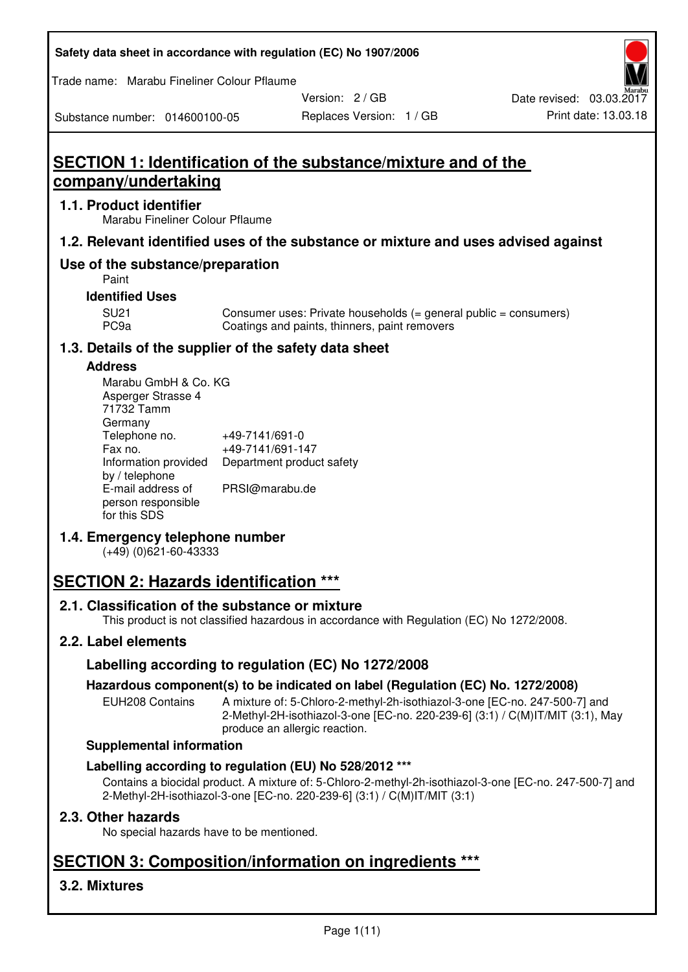| Safety data sheet in accordance with regulation (EC) No 1907/2006 |  |
|-------------------------------------------------------------------|--|
|-------------------------------------------------------------------|--|

Trade name: Marabu Fineliner Colour Pflaume

Version: 2 / GB

Substance number: 014600100-05

Replaces Version: 1 / GB Print date: 13.03.18

# **SECTION 1: Identification of the substance/mixture and of the company/undertaking**

### **1.1. Product identifier**

Marabu Fineliner Colour Pflaume

## **1.2. Relevant identified uses of the substance or mixture and uses advised against**

## **Use of the substance/preparation**

Paint

#### **Identified Uses**

SU21 Consumer uses: Private households (= general public = consumers)<br>PC9a Coatings and paints, thinners, paint removers Coatings and paints, thinners, paint removers

## **1.3. Details of the supplier of the safety data sheet**

#### **Address**

| Marabu GmbH & Co. KG |                           |
|----------------------|---------------------------|
| Asperger Strasse 4   |                           |
| 71732 Tamm           |                           |
| Germany              |                           |
| Telephone no.        | +49-7141/691-0            |
| Fax no.              | +49-7141/691-147          |
| Information provided | Department product safety |
| by / telephone       |                           |
| E-mail address of    | PRSI@marabu.de            |
| person responsible   |                           |
| for this SDS         |                           |

## **1.4. Emergency telephone number**

(+49) (0)621-60-43333

# **SECTION 2: Hazards identification \*\*\***

## **2.1. Classification of the substance or mixture**

This product is not classified hazardous in accordance with Regulation (EC) No 1272/2008.

## **2.2. Label elements**

## **Labelling according to regulation (EC) No 1272/2008**

## **Hazardous component(s) to be indicated on label (Regulation (EC) No. 1272/2008)**

EUH208 Contains A mixture of: 5-Chloro-2-methyl-2h-isothiazol-3-one [EC-no. 247-500-7] and 2-Methyl-2H-isothiazol-3-one [EC-no. 220-239-6] (3:1) / C(M)IT/MIT (3:1), May produce an allergic reaction.

#### **Supplemental information**

## **Labelling according to regulation (EU) No 528/2012 \*\*\***

Contains a biocidal product. A mixture of: 5-Chloro-2-methyl-2h-isothiazol-3-one [EC-no. 247-500-7] and 2-Methyl-2H-isothiazol-3-one [EC-no. 220-239-6] (3:1) / C(M)IT/MIT (3:1)

## **2.3. Other hazards**

No special hazards have to be mentioned.

# **SECTION 3: Composition/information on ingredients \*\*\***

## **3.2. Mixtures**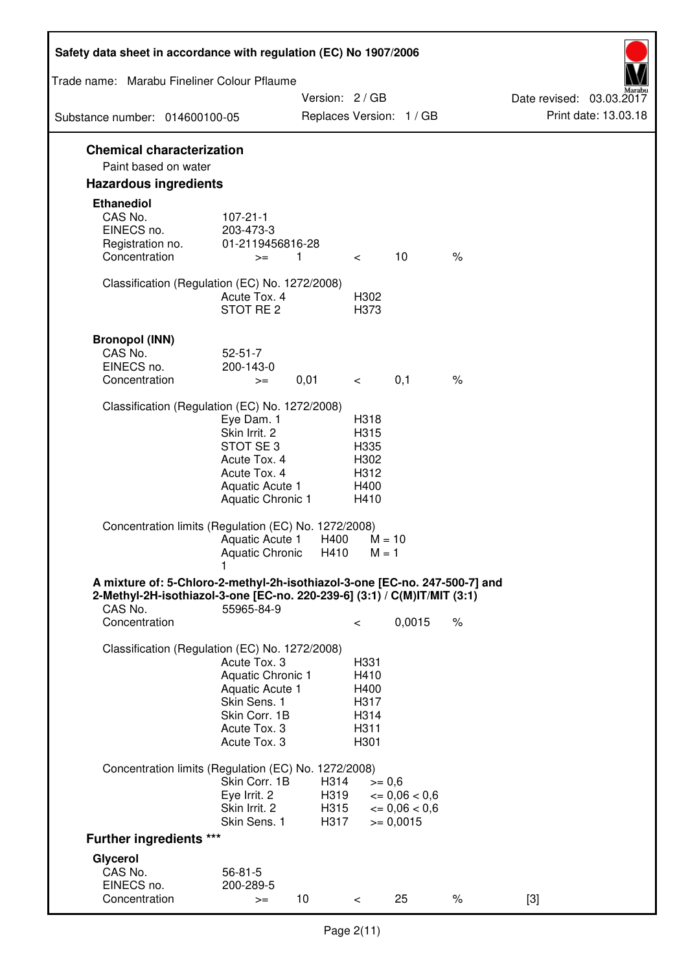| Safety data sheet in accordance with regulation (EC) No 1907/2006                                                                                                 |                                                                                                                       |                              |                                                      |                                                         |      |                                                  |
|-------------------------------------------------------------------------------------------------------------------------------------------------------------------|-----------------------------------------------------------------------------------------------------------------------|------------------------------|------------------------------------------------------|---------------------------------------------------------|------|--------------------------------------------------|
| Trade name: Marabu Fineliner Colour Pflaume                                                                                                                       |                                                                                                                       |                              |                                                      |                                                         |      |                                                  |
| Substance number: 014600100-05                                                                                                                                    |                                                                                                                       | Version: 2 / GB              |                                                      | Replaces Version: 1 / GB                                |      | Date revised: 03.03.2017<br>Print date: 13.03.18 |
|                                                                                                                                                                   |                                                                                                                       |                              |                                                      |                                                         |      |                                                  |
| <b>Chemical characterization</b><br>Paint based on water                                                                                                          |                                                                                                                       |                              |                                                      |                                                         |      |                                                  |
| <b>Hazardous ingredients</b>                                                                                                                                      |                                                                                                                       |                              |                                                      |                                                         |      |                                                  |
| <b>Ethanediol</b><br>CAS No.<br>EINECS no.<br>Registration no.<br>Concentration                                                                                   | $107 - 21 - 1$<br>203-473-3<br>01-2119456816-28<br>$>=$                                                               | $\mathbf{1}$                 | $\lt$                                                | 10                                                      | $\%$ |                                                  |
|                                                                                                                                                                   |                                                                                                                       |                              |                                                      |                                                         |      |                                                  |
| Classification (Regulation (EC) No. 1272/2008)                                                                                                                    | Acute Tox. 4<br>STOT RE <sub>2</sub>                                                                                  |                              | H302<br>H373                                         |                                                         |      |                                                  |
| <b>Bronopol (INN)</b><br>CAS No.<br>EINECS no.                                                                                                                    | $52 - 51 - 7$<br>200-143-0                                                                                            |                              |                                                      |                                                         |      |                                                  |
| Concentration                                                                                                                                                     | $>=$                                                                                                                  | 0,01                         | $\lt$ $\sim$                                         | 0,1                                                     | $\%$ |                                                  |
| Classification (Regulation (EC) No. 1272/2008)                                                                                                                    | Eye Dam. 1<br>Skin Irrit. 2<br>STOT SE 3<br>Acute Tox. 4<br>Acute Tox. 4<br>Aquatic Acute 1<br>Aquatic Chronic 1      |                              | H318<br>H315<br>H335<br>H302<br>H312<br>H400<br>H410 |                                                         |      |                                                  |
| Concentration limits (Regulation (EC) No. 1272/2008)                                                                                                              | Aquatic Acute 1<br><b>Aquatic Chronic</b>                                                                             | H400<br>H410                 | $M = 1$                                              | $M = 10$                                                |      |                                                  |
| A mixture of: 5-Chloro-2-methyl-2h-isothiazol-3-one [EC-no. 247-500-7] and<br>2-Methyl-2H-isothiazol-3-one [EC-no. 220-239-6] (3:1) / C(M)IT/MIT (3:1)<br>CAS No. | 55965-84-9                                                                                                            |                              |                                                      |                                                         |      |                                                  |
| Concentration                                                                                                                                                     |                                                                                                                       |                              | $\,<\,$                                              | 0,0015                                                  | $\%$ |                                                  |
| Classification (Regulation (EC) No. 1272/2008)                                                                                                                    | Acute Tox. 3<br>Aquatic Chronic 1<br>Aquatic Acute 1<br>Skin Sens. 1<br>Skin Corr. 1B<br>Acute Tox. 3<br>Acute Tox. 3 |                              | H331<br>H410<br>H400<br>H317<br>H314<br>H311<br>H301 |                                                         |      |                                                  |
| Concentration limits (Regulation (EC) No. 1272/2008)                                                                                                              |                                                                                                                       |                              |                                                      |                                                         |      |                                                  |
|                                                                                                                                                                   | Skin Corr. 1B<br>Eye Irrit. 2<br>Skin Irrit. 2<br>Skin Sens. 1                                                        | H314<br>H319<br>H315<br>H317 | $>= 0,6$                                             | $\epsilon = 0.06 < 0.6$<br>$= 0,06 < 0,6$<br>$= 0,0015$ |      |                                                  |
| <b>Further ingredients ***</b>                                                                                                                                    |                                                                                                                       |                              |                                                      |                                                         |      |                                                  |
| Glycerol<br>CAS No.<br>EINECS no.<br>Concentration                                                                                                                | $56 - 81 - 5$<br>200-289-5<br>$>=$                                                                                    | 10 <sup>1</sup>              | $\,<\,$                                              | 25                                                      | $\%$ | $[3]$                                            |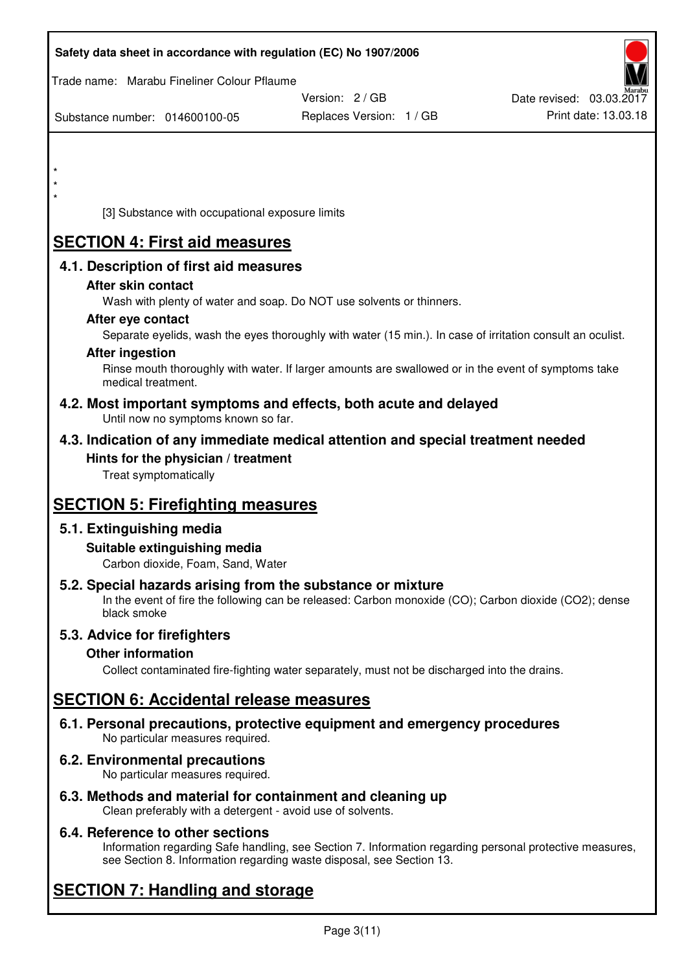| Safety data sheet in accordance with regulation (EC) No 1907/2006                                            |                                                                                                            |                          |
|--------------------------------------------------------------------------------------------------------------|------------------------------------------------------------------------------------------------------------|--------------------------|
| Trade name: Marabu Fineliner Colour Pflaume                                                                  |                                                                                                            |                          |
|                                                                                                              | Version: 2 / GB                                                                                            | Date revised: 03.03.2017 |
| Substance number: 014600100-05                                                                               | Replaces Version: 1 / GB                                                                                   | Print date: 13.03.18     |
|                                                                                                              |                                                                                                            |                          |
|                                                                                                              |                                                                                                            |                          |
| $\star$                                                                                                      |                                                                                                            |                          |
|                                                                                                              |                                                                                                            |                          |
| [3] Substance with occupational exposure limits                                                              |                                                                                                            |                          |
| <b>SECTION 4: First aid measures</b>                                                                         |                                                                                                            |                          |
| 4.1. Description of first aid measures                                                                       |                                                                                                            |                          |
| After skin contact                                                                                           |                                                                                                            |                          |
|                                                                                                              | Wash with plenty of water and soap. Do NOT use solvents or thinners.                                       |                          |
| After eye contact                                                                                            |                                                                                                            |                          |
|                                                                                                              | Separate eyelids, wash the eyes thoroughly with water (15 min.). In case of irritation consult an oculist. |                          |
| <b>After ingestion</b>                                                                                       |                                                                                                            |                          |
| medical treatment.                                                                                           | Rinse mouth thoroughly with water. If larger amounts are swallowed or in the event of symptoms take        |                          |
| 4.2. Most important symptoms and effects, both acute and delayed<br>Until now no symptoms known so far.      |                                                                                                            |                          |
| 4.3. Indication of any immediate medical attention and special treatment needed                              |                                                                                                            |                          |
| Hints for the physician / treatment                                                                          |                                                                                                            |                          |
| Treat symptomatically                                                                                        |                                                                                                            |                          |
| <b>SECTION 5: Firefighting measures</b>                                                                      |                                                                                                            |                          |
| 5.1. Extinguishing media                                                                                     |                                                                                                            |                          |
| Suitable extinguishing media                                                                                 |                                                                                                            |                          |
| Carbon dioxide, Foam, Sand, Water                                                                            |                                                                                                            |                          |
| 5.2. Special hazards arising from the substance or mixture<br>black smoke                                    | In the event of fire the following can be released: Carbon monoxide (CO); Carbon dioxide (CO2); dense      |                          |
| 5.3. Advice for firefighters                                                                                 |                                                                                                            |                          |
| <b>Other information</b>                                                                                     |                                                                                                            |                          |
|                                                                                                              | Collect contaminated fire-fighting water separately, must not be discharged into the drains.               |                          |
| <b>SECTION 6: Accidental release measures</b>                                                                |                                                                                                            |                          |
| 6.1. Personal precautions, protective equipment and emergency procedures<br>No particular measures required. |                                                                                                            |                          |
| 6.2. Environmental precautions<br>No particular measures required.                                           |                                                                                                            |                          |
| 6.3. Methods and material for containment and cleaning up                                                    |                                                                                                            |                          |

Clean preferably with a detergent - avoid use of solvents.

## **6.4. Reference to other sections**

Information regarding Safe handling, see Section 7. Information regarding personal protective measures, see Section 8. Information regarding waste disposal, see Section 13.

# **SECTION 7: Handling and storage**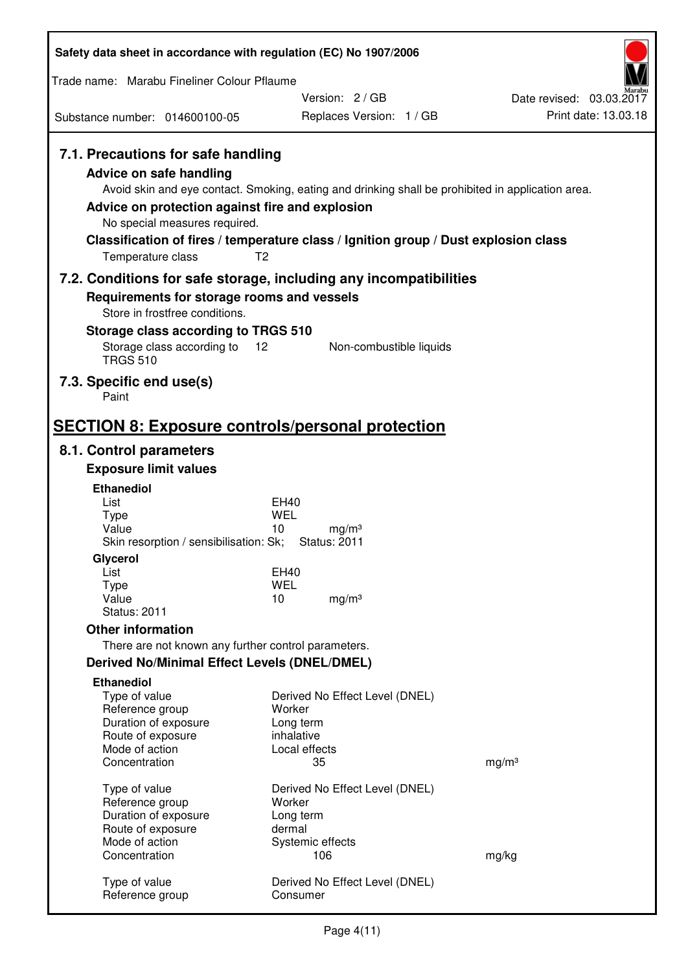| Safety data sheet in accordance with regulation (EC) No 1907/2006                                                                                                      |                                                                                                                                                                                                            |                          |
|------------------------------------------------------------------------------------------------------------------------------------------------------------------------|------------------------------------------------------------------------------------------------------------------------------------------------------------------------------------------------------------|--------------------------|
| Trade name: Marabu Fineliner Colour Pflaume                                                                                                                            |                                                                                                                                                                                                            |                          |
|                                                                                                                                                                        | Version: 2/GB                                                                                                                                                                                              | Date revised: 03.03.2017 |
| Substance number: 014600100-05                                                                                                                                         | Replaces Version: 1 / GB                                                                                                                                                                                   | Print date: 13.03.18     |
| 7.1. Precautions for safe handling<br>Advice on safe handling<br>Advice on protection against fire and explosion<br>No special measures required.<br>Temperature class | Avoid skin and eye contact. Smoking, eating and drinking shall be prohibited in application area.<br>Classification of fires / temperature class / Ignition group / Dust explosion class<br>T <sub>2</sub> |                          |
|                                                                                                                                                                        | 7.2. Conditions for safe storage, including any incompatibilities                                                                                                                                          |                          |
| Requirements for storage rooms and vessels<br>Store in frostfree conditions.                                                                                           |                                                                                                                                                                                                            |                          |
| Storage class according to TRGS 510                                                                                                                                    |                                                                                                                                                                                                            |                          |
| Storage class according to<br><b>TRGS 510</b>                                                                                                                          | 12<br>Non-combustible liquids                                                                                                                                                                              |                          |
| 7.3. Specific end use(s)<br>Paint                                                                                                                                      |                                                                                                                                                                                                            |                          |
| <b>SECTION 8: Exposure controls/personal protection</b>                                                                                                                |                                                                                                                                                                                                            |                          |
| 8.1. Control parameters                                                                                                                                                |                                                                                                                                                                                                            |                          |
| <b>Exposure limit values</b>                                                                                                                                           |                                                                                                                                                                                                            |                          |
| <b>Ethanediol</b><br>List                                                                                                                                              | EH40                                                                                                                                                                                                       |                          |
| <b>Type</b>                                                                                                                                                            | <b>WEL</b>                                                                                                                                                                                                 |                          |
| Value<br>Skin resorption / sensibilisation: Sk;                                                                                                                        | 10<br>mg/m <sup>3</sup><br><b>Status: 2011</b>                                                                                                                                                             |                          |
| Glycerol                                                                                                                                                               |                                                                                                                                                                                                            |                          |
| List<br><b>Type</b>                                                                                                                                                    | EH40<br><b>WEL</b>                                                                                                                                                                                         |                          |
| Value                                                                                                                                                                  | 10<br>mg/m <sup>3</sup>                                                                                                                                                                                    |                          |
| <b>Status: 2011</b>                                                                                                                                                    |                                                                                                                                                                                                            |                          |
| <b>Other information</b>                                                                                                                                               |                                                                                                                                                                                                            |                          |
| There are not known any further control parameters.<br><b>Derived No/Minimal Effect Levels (DNEL/DMEL)</b>                                                             |                                                                                                                                                                                                            |                          |
| <b>Ethanediol</b>                                                                                                                                                      |                                                                                                                                                                                                            |                          |
| Type of value                                                                                                                                                          | Derived No Effect Level (DNEL)                                                                                                                                                                             |                          |
| Reference group                                                                                                                                                        | Worker                                                                                                                                                                                                     |                          |
| Duration of exposure<br>Route of exposure                                                                                                                              | Long term<br>inhalative                                                                                                                                                                                    |                          |
| Mode of action                                                                                                                                                         | Local effects                                                                                                                                                                                              |                          |
| Concentration                                                                                                                                                          | 35                                                                                                                                                                                                         | mg/m <sup>3</sup>        |
| Type of value                                                                                                                                                          | Derived No Effect Level (DNEL)                                                                                                                                                                             |                          |
| Reference group<br>Duration of exposure                                                                                                                                | Worker<br>Long term                                                                                                                                                                                        |                          |
| Route of exposure                                                                                                                                                      | dermal                                                                                                                                                                                                     |                          |
| Mode of action                                                                                                                                                         | Systemic effects                                                                                                                                                                                           |                          |
| Concentration                                                                                                                                                          | 106                                                                                                                                                                                                        | mg/kg                    |
| Type of value<br>Reference group                                                                                                                                       | Derived No Effect Level (DNEL)<br>Consumer                                                                                                                                                                 |                          |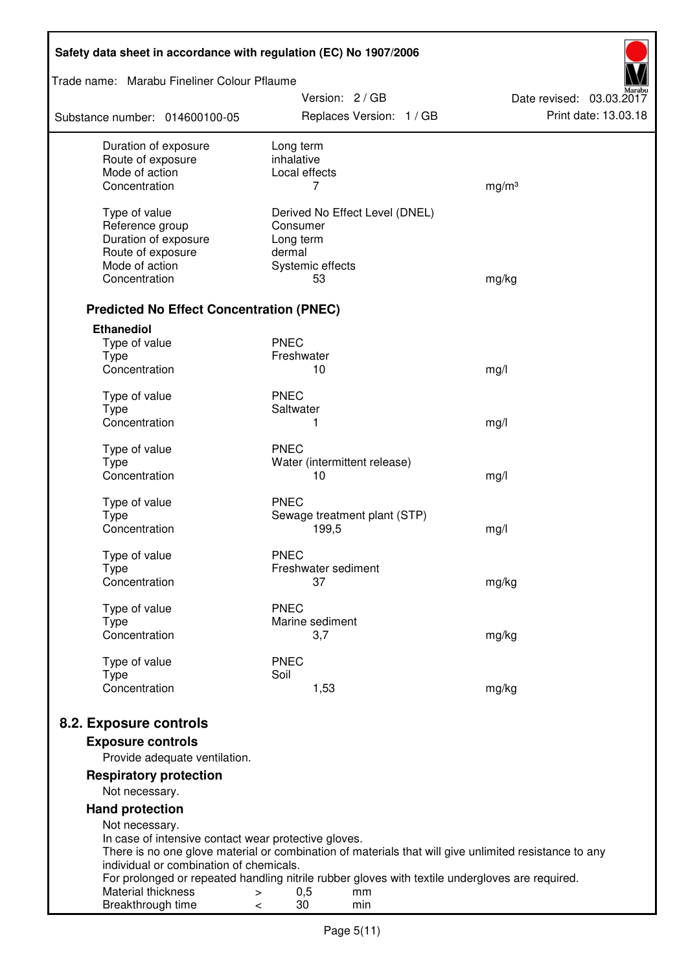| Safety data sheet in accordance with regulation (EC) No 1907/2006 |                                                                                                       |                                                  |
|-------------------------------------------------------------------|-------------------------------------------------------------------------------------------------------|--------------------------------------------------|
| Trade name: Marabu Fineliner Colour Pflaume                       |                                                                                                       |                                                  |
| Substance number: 014600100-05                                    | Version: 2/GB<br>Replaces Version: 1 / GB                                                             | Date revised: 03.03.2017<br>Print date: 13.03.18 |
| Duration of exposure                                              | Long term                                                                                             |                                                  |
| Route of exposure<br>Mode of action                               | inhalative<br>Local effects                                                                           |                                                  |
| Concentration                                                     | 7                                                                                                     | mg/m <sup>3</sup>                                |
| Type of value                                                     | Derived No Effect Level (DNEL)                                                                        |                                                  |
| Reference group                                                   | Consumer                                                                                              |                                                  |
| Duration of exposure                                              | Long term                                                                                             |                                                  |
| Route of exposure                                                 | dermal                                                                                                |                                                  |
| Mode of action                                                    | Systemic effects                                                                                      |                                                  |
| Concentration                                                     | 53                                                                                                    | mg/kg                                            |
| <b>Predicted No Effect Concentration (PNEC)</b>                   |                                                                                                       |                                                  |
| <b>Ethanediol</b>                                                 |                                                                                                       |                                                  |
| Type of value                                                     | <b>PNEC</b>                                                                                           |                                                  |
| <b>Type</b>                                                       | Freshwater                                                                                            |                                                  |
| Concentration                                                     | 10                                                                                                    | mg/l                                             |
| Type of value                                                     | <b>PNEC</b>                                                                                           |                                                  |
| <b>Type</b>                                                       | Saltwater                                                                                             |                                                  |
| Concentration                                                     | 1                                                                                                     | mg/l                                             |
| Type of value                                                     | <b>PNEC</b>                                                                                           |                                                  |
| <b>Type</b>                                                       | Water (intermittent release)                                                                          |                                                  |
| Concentration                                                     | 10                                                                                                    | mg/l                                             |
| Type of value                                                     | <b>PNEC</b>                                                                                           |                                                  |
| <b>Type</b>                                                       | Sewage treatment plant (STP)                                                                          |                                                  |
| Concentration                                                     | 199,5                                                                                                 | mg/l                                             |
| Type of value                                                     | <b>PNEC</b>                                                                                           |                                                  |
| Type                                                              | Freshwater sediment                                                                                   |                                                  |
| Concentration                                                     | 37                                                                                                    | mg/kg                                            |
| Type of value                                                     | <b>PNEC</b>                                                                                           |                                                  |
| <b>Type</b>                                                       | Marine sediment                                                                                       |                                                  |
| Concentration                                                     | 3,7                                                                                                   | mg/kg                                            |
| Type of value                                                     | <b>PNEC</b>                                                                                           |                                                  |
| <b>Type</b>                                                       | Soil                                                                                                  |                                                  |
| Concentration                                                     | 1,53                                                                                                  | mg/kg                                            |
| 8.2. Exposure controls                                            |                                                                                                       |                                                  |
| <b>Exposure controls</b>                                          |                                                                                                       |                                                  |
| Provide adequate ventilation.                                     |                                                                                                       |                                                  |
| <b>Respiratory protection</b><br>Not necessary.                   |                                                                                                       |                                                  |
| <b>Hand protection</b>                                            |                                                                                                       |                                                  |
| Not necessary.                                                    |                                                                                                       |                                                  |
| In case of intensive contact wear protective gloves.              |                                                                                                       |                                                  |
|                                                                   | There is no one glove material or combination of materials that will give unlimited resistance to any |                                                  |
| individual or combination of chemicals.                           | For prolonged or repeated handling nitrile rubber gloves with textile undergloves are required.       |                                                  |
| Material thickness                                                | 0,5<br>mm<br>$\, > \,$                                                                                |                                                  |
| Breakthrough time                                                 | 30<br>min<br><                                                                                        |                                                  |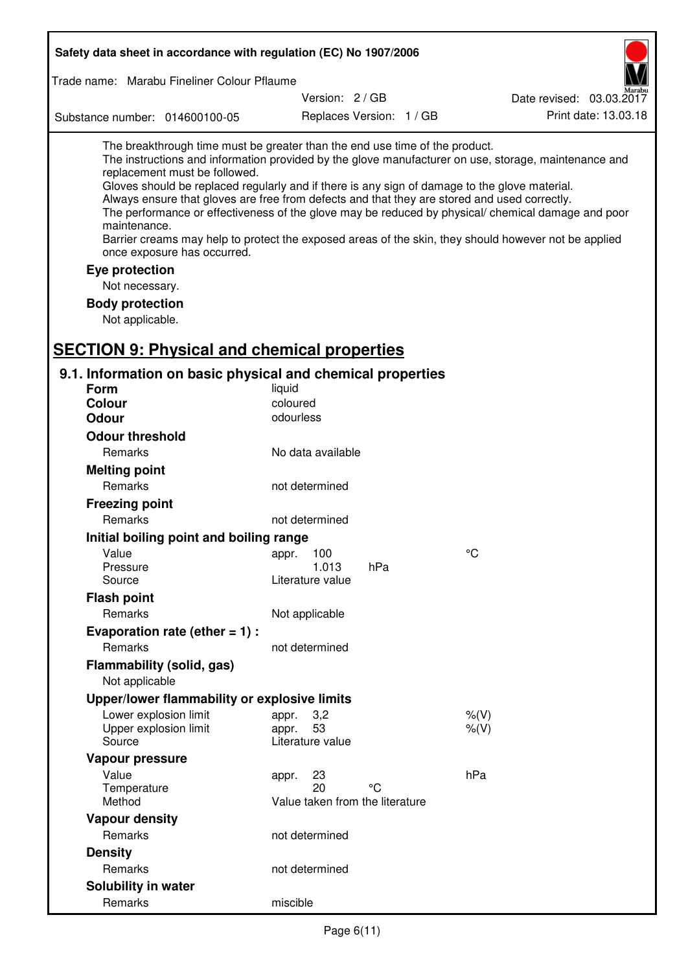| Safety data sheet in accordance with regulation (EC) No 1907/2006<br>Trade name: Marabu Fineliner Colour Pflaume                                                                                                                                                                                                                                             |                                                 |                          |                                                                                                                                                                                                                                                                                                                    |  |
|--------------------------------------------------------------------------------------------------------------------------------------------------------------------------------------------------------------------------------------------------------------------------------------------------------------------------------------------------------------|-------------------------------------------------|--------------------------|--------------------------------------------------------------------------------------------------------------------------------------------------------------------------------------------------------------------------------------------------------------------------------------------------------------------|--|
|                                                                                                                                                                                                                                                                                                                                                              |                                                 |                          |                                                                                                                                                                                                                                                                                                                    |  |
| Substance number: 014600100-05                                                                                                                                                                                                                                                                                                                               |                                                 | Replaces Version: 1 / GB | Print date: 13.03.18                                                                                                                                                                                                                                                                                               |  |
| The breakthrough time must be greater than the end use time of the product.<br>replacement must be followed.<br>Gloves should be replaced regularly and if there is any sign of damage to the glove material.<br>Always ensure that gloves are free from defects and that they are stored and used correctly.<br>maintenance.<br>once exposure has occurred. |                                                 |                          | The instructions and information provided by the glove manufacturer on use, storage, maintenance and<br>The performance or effectiveness of the glove may be reduced by physical/ chemical damage and poor<br>Barrier creams may help to protect the exposed areas of the skin, they should however not be applied |  |
| Eye protection                                                                                                                                                                                                                                                                                                                                               |                                                 |                          |                                                                                                                                                                                                                                                                                                                    |  |
| Not necessary.                                                                                                                                                                                                                                                                                                                                               |                                                 |                          |                                                                                                                                                                                                                                                                                                                    |  |
| <b>Body protection</b><br>Not applicable.                                                                                                                                                                                                                                                                                                                    |                                                 |                          |                                                                                                                                                                                                                                                                                                                    |  |
| <b>SECTION 9: Physical and chemical properties</b>                                                                                                                                                                                                                                                                                                           |                                                 |                          |                                                                                                                                                                                                                                                                                                                    |  |
| 9.1. Information on basic physical and chemical properties                                                                                                                                                                                                                                                                                                   |                                                 |                          |                                                                                                                                                                                                                                                                                                                    |  |
| <b>Form</b>                                                                                                                                                                                                                                                                                                                                                  | liquid                                          |                          |                                                                                                                                                                                                                                                                                                                    |  |
| <b>Colour</b>                                                                                                                                                                                                                                                                                                                                                | coloured                                        |                          |                                                                                                                                                                                                                                                                                                                    |  |
| <b>Odour</b>                                                                                                                                                                                                                                                                                                                                                 | odourless                                       |                          |                                                                                                                                                                                                                                                                                                                    |  |
| <b>Odour threshold</b>                                                                                                                                                                                                                                                                                                                                       |                                                 |                          |                                                                                                                                                                                                                                                                                                                    |  |
| Remarks                                                                                                                                                                                                                                                                                                                                                      | No data available                               |                          |                                                                                                                                                                                                                                                                                                                    |  |
| <b>Melting point</b>                                                                                                                                                                                                                                                                                                                                         |                                                 |                          |                                                                                                                                                                                                                                                                                                                    |  |
| Remarks                                                                                                                                                                                                                                                                                                                                                      | not determined                                  |                          |                                                                                                                                                                                                                                                                                                                    |  |
| <b>Freezing point</b>                                                                                                                                                                                                                                                                                                                                        |                                                 |                          |                                                                                                                                                                                                                                                                                                                    |  |
| Remarks                                                                                                                                                                                                                                                                                                                                                      | not determined                                  |                          |                                                                                                                                                                                                                                                                                                                    |  |
| Initial boiling point and boiling range                                                                                                                                                                                                                                                                                                                      |                                                 |                          |                                                                                                                                                                                                                                                                                                                    |  |
| Value                                                                                                                                                                                                                                                                                                                                                        | appr. 100                                       |                          | °C                                                                                                                                                                                                                                                                                                                 |  |
| Pressure                                                                                                                                                                                                                                                                                                                                                     | 1.013                                           | hPa                      |                                                                                                                                                                                                                                                                                                                    |  |
| Source                                                                                                                                                                                                                                                                                                                                                       | Literature value                                |                          |                                                                                                                                                                                                                                                                                                                    |  |
| <b>Flash point</b>                                                                                                                                                                                                                                                                                                                                           |                                                 |                          |                                                                                                                                                                                                                                                                                                                    |  |
| Remarks                                                                                                                                                                                                                                                                                                                                                      | Not applicable                                  |                          |                                                                                                                                                                                                                                                                                                                    |  |
| Evaporation rate (ether $= 1$ ) :                                                                                                                                                                                                                                                                                                                            |                                                 |                          |                                                                                                                                                                                                                                                                                                                    |  |
| Remarks                                                                                                                                                                                                                                                                                                                                                      | not determined                                  |                          |                                                                                                                                                                                                                                                                                                                    |  |
| Flammability (solid, gas)<br>Not applicable                                                                                                                                                                                                                                                                                                                  |                                                 |                          |                                                                                                                                                                                                                                                                                                                    |  |
| Upper/lower flammability or explosive limits                                                                                                                                                                                                                                                                                                                 |                                                 |                          |                                                                                                                                                                                                                                                                                                                    |  |
| Lower explosion limit                                                                                                                                                                                                                                                                                                                                        |                                                 |                          |                                                                                                                                                                                                                                                                                                                    |  |
| Upper explosion limit<br>Source                                                                                                                                                                                                                                                                                                                              | 3,2<br>appr.<br>53<br>appr.<br>Literature value |                          | $%$ (V)<br>% (V)                                                                                                                                                                                                                                                                                                   |  |
| Vapour pressure                                                                                                                                                                                                                                                                                                                                              |                                                 |                          |                                                                                                                                                                                                                                                                                                                    |  |
| Value                                                                                                                                                                                                                                                                                                                                                        | 23<br>appr.                                     |                          | hPa                                                                                                                                                                                                                                                                                                                |  |
| Temperature<br>Method                                                                                                                                                                                                                                                                                                                                        | 20<br>Value taken from the literature           | °C                       |                                                                                                                                                                                                                                                                                                                    |  |
| <b>Vapour density</b>                                                                                                                                                                                                                                                                                                                                        |                                                 |                          |                                                                                                                                                                                                                                                                                                                    |  |
| Remarks                                                                                                                                                                                                                                                                                                                                                      | not determined                                  |                          |                                                                                                                                                                                                                                                                                                                    |  |
| <b>Density</b>                                                                                                                                                                                                                                                                                                                                               |                                                 |                          |                                                                                                                                                                                                                                                                                                                    |  |
| Remarks                                                                                                                                                                                                                                                                                                                                                      | not determined                                  |                          |                                                                                                                                                                                                                                                                                                                    |  |
| Solubility in water                                                                                                                                                                                                                                                                                                                                          |                                                 |                          |                                                                                                                                                                                                                                                                                                                    |  |
| Remarks                                                                                                                                                                                                                                                                                                                                                      | miscible                                        |                          |                                                                                                                                                                                                                                                                                                                    |  |
|                                                                                                                                                                                                                                                                                                                                                              |                                                 |                          |                                                                                                                                                                                                                                                                                                                    |  |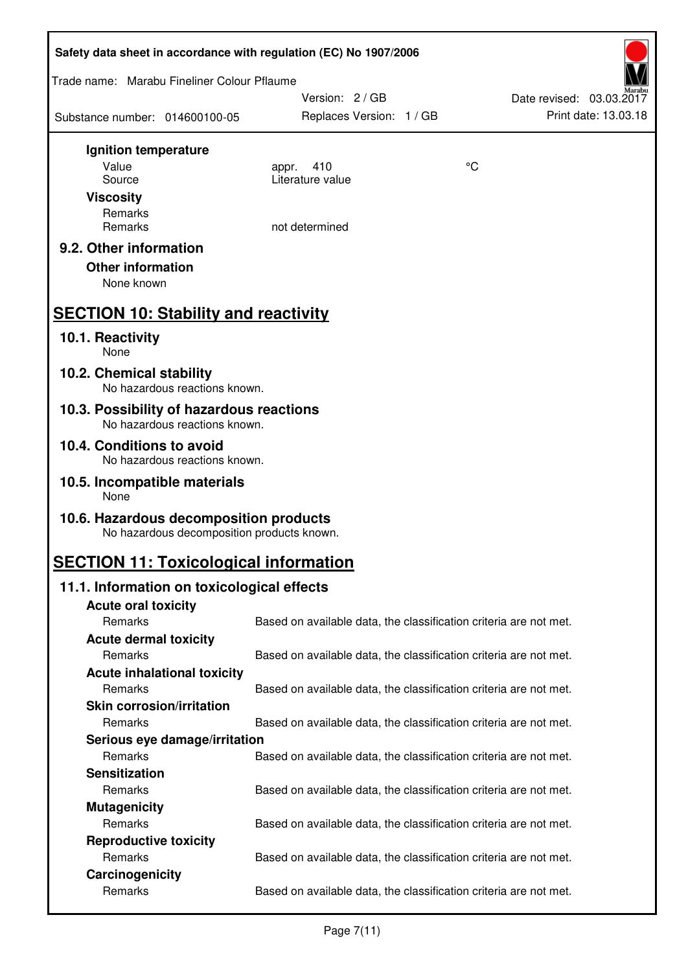| Safety data sheet in accordance with regulation (EC) No 1907/2006                    |                                                                   |    |                          |  |
|--------------------------------------------------------------------------------------|-------------------------------------------------------------------|----|--------------------------|--|
| Trade name: Marabu Fineliner Colour Pflaume                                          |                                                                   |    |                          |  |
|                                                                                      | Version: 2/GB                                                     |    | Date revised: 03.03.2017 |  |
| Substance number: 014600100-05                                                       | Replaces Version: 1 / GB                                          |    | Print date: 13.03.18     |  |
| Ignition temperature                                                                 |                                                                   |    |                          |  |
| Value                                                                                | 410<br>appr.                                                      | °C |                          |  |
| Source                                                                               | Literature value                                                  |    |                          |  |
| <b>Viscosity</b>                                                                     |                                                                   |    |                          |  |
| Remarks<br>Remarks                                                                   | not determined                                                    |    |                          |  |
|                                                                                      |                                                                   |    |                          |  |
| 9.2. Other information                                                               |                                                                   |    |                          |  |
| <b>Other information</b>                                                             |                                                                   |    |                          |  |
| None known                                                                           |                                                                   |    |                          |  |
| <b>SECTION 10: Stability and reactivity</b>                                          |                                                                   |    |                          |  |
| 10.1. Reactivity<br>None                                                             |                                                                   |    |                          |  |
| 10.2. Chemical stability<br>No hazardous reactions known.                            |                                                                   |    |                          |  |
| 10.3. Possibility of hazardous reactions                                             |                                                                   |    |                          |  |
| No hazardous reactions known.<br>10.4. Conditions to avoid                           |                                                                   |    |                          |  |
| No hazardous reactions known.                                                        |                                                                   |    |                          |  |
| 10.5. Incompatible materials<br>None                                                 |                                                                   |    |                          |  |
| 10.6. Hazardous decomposition products<br>No hazardous decomposition products known. |                                                                   |    |                          |  |
| <b>SECTION 11: Toxicological information</b>                                         |                                                                   |    |                          |  |
| 11.1. Information on toxicological effects                                           |                                                                   |    |                          |  |
| <b>Acute oral toxicity</b>                                                           |                                                                   |    |                          |  |
| Remarks                                                                              | Based on available data, the classification criteria are not met. |    |                          |  |
| <b>Acute dermal toxicity</b>                                                         |                                                                   |    |                          |  |
| Remarks                                                                              | Based on available data, the classification criteria are not met. |    |                          |  |
| <b>Acute inhalational toxicity</b>                                                   |                                                                   |    |                          |  |
| Remarks                                                                              | Based on available data, the classification criteria are not met. |    |                          |  |
| <b>Skin corrosion/irritation</b>                                                     |                                                                   |    |                          |  |
| Remarks                                                                              | Based on available data, the classification criteria are not met. |    |                          |  |
| Serious eye damage/irritation<br>Remarks                                             |                                                                   |    |                          |  |
| <b>Sensitization</b>                                                                 | Based on available data, the classification criteria are not met. |    |                          |  |
| Remarks                                                                              | Based on available data, the classification criteria are not met. |    |                          |  |
| <b>Mutagenicity</b>                                                                  |                                                                   |    |                          |  |
| Remarks                                                                              | Based on available data, the classification criteria are not met. |    |                          |  |
| <b>Reproductive toxicity</b>                                                         |                                                                   |    |                          |  |
| Remarks                                                                              | Based on available data, the classification criteria are not met. |    |                          |  |
| Carcinogenicity                                                                      |                                                                   |    |                          |  |
| Remarks                                                                              | Based on available data, the classification criteria are not met. |    |                          |  |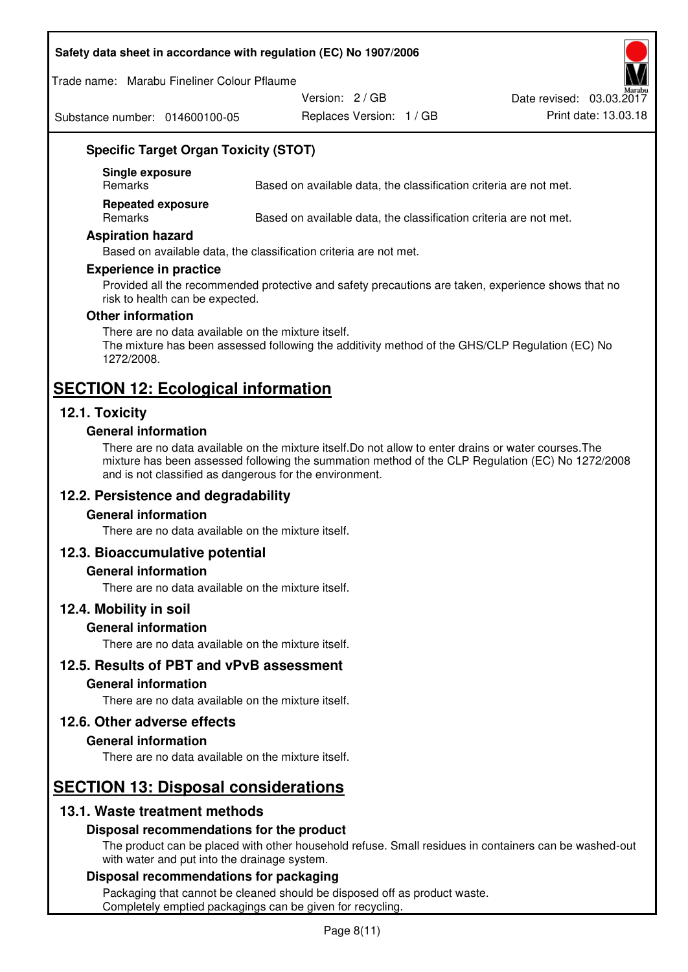#### **Safety data sheet in accordance with regulation (EC) No 1907/2006**

Trade name: Marabu Fineliner Colour Pflaume

Substance number: 014600100-05

Version: 2 / GB

Date revised: 03.03.2017

Replaces Version: 1 / GB Print date: 13.03.18

## **Specific Target Organ Toxicity (STOT)**

**Single exposure** 

Based on available data, the classification criteria are not met.

**Repeated exposure** 

Remarks Based on available data, the classification criteria are not met.

#### **Aspiration hazard**

Based on available data, the classification criteria are not met.

#### **Experience in practice**

Provided all the recommended protective and safety precautions are taken, experience shows that no risk to health can be expected.

#### **Other information**

There are no data available on the mixture itself. The mixture has been assessed following the additivity method of the GHS/CLP Regulation (EC) No 1272/2008.

# **SECTION 12: Ecological information**

## **12.1. Toxicity**

#### **General information**

There are no data available on the mixture itself.Do not allow to enter drains or water courses.The mixture has been assessed following the summation method of the CLP Regulation (EC) No 1272/2008 and is not classified as dangerous for the environment.

## **12.2. Persistence and degradability**

#### **General information**

There are no data available on the mixture itself.

## **12.3. Bioaccumulative potential**

#### **General information**

There are no data available on the mixture itself.

#### **12.4. Mobility in soil**

#### **General information**

There are no data available on the mixture itself.

**12.5. Results of PBT and vPvB assessment** 

#### **General information**

There are no data available on the mixture itself.

#### **12.6. Other adverse effects**

#### **General information**

There are no data available on the mixture itself.

# **SECTION 13: Disposal considerations**

## **13.1. Waste treatment methods**

## **Disposal recommendations for the product**

The product can be placed with other household refuse. Small residues in containers can be washed-out with water and put into the drainage system.

#### **Disposal recommendations for packaging**

Packaging that cannot be cleaned should be disposed off as product waste. Completely emptied packagings can be given for recycling.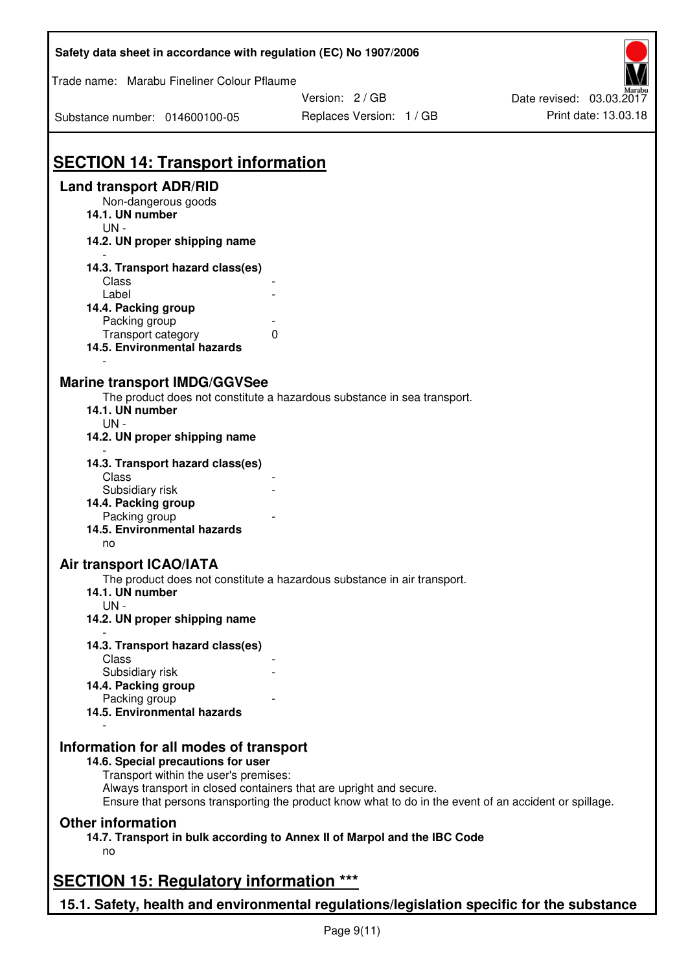| Safety data sheet in accordance with regulation (EC) No 1907/2006                                                                                                                                                                                                                |                                                                                                       |                          |  |
|----------------------------------------------------------------------------------------------------------------------------------------------------------------------------------------------------------------------------------------------------------------------------------|-------------------------------------------------------------------------------------------------------|--------------------------|--|
| Trade name: Marabu Fineliner Colour Pflaume                                                                                                                                                                                                                                      |                                                                                                       |                          |  |
|                                                                                                                                                                                                                                                                                  | Version: 2 / GB                                                                                       | Date revised: 03.03.2017 |  |
| Substance number: 014600100-05                                                                                                                                                                                                                                                   | Replaces Version: 1 / GB                                                                              | Print date: 13.03.18     |  |
| <b>SECTION 14: Transport information</b>                                                                                                                                                                                                                                         |                                                                                                       |                          |  |
| <b>Land transport ADR/RID</b><br>Non-dangerous goods<br>14.1. UN number<br>$UN -$<br>14.2. UN proper shipping name                                                                                                                                                               |                                                                                                       |                          |  |
| 14.3. Transport hazard class(es)                                                                                                                                                                                                                                                 |                                                                                                       |                          |  |
| Class                                                                                                                                                                                                                                                                            |                                                                                                       |                          |  |
| Label                                                                                                                                                                                                                                                                            |                                                                                                       |                          |  |
| 14.4. Packing group                                                                                                                                                                                                                                                              |                                                                                                       |                          |  |
| Packing group<br>Transport category                                                                                                                                                                                                                                              | $\mathbf{0}$                                                                                          |                          |  |
| 14.5. Environmental hazards                                                                                                                                                                                                                                                      |                                                                                                       |                          |  |
| <b>Marine transport IMDG/GGVSee</b><br>14.1. UN number<br>$UN -$<br>14.2. UN proper shipping name<br>14.3. Transport hazard class(es)<br>Class<br>Subsidiary risk<br>14.4. Packing group<br>Packing group<br>14.5. Environmental hazards<br>no<br><b>Air transport ICAO/IATA</b> | The product does not constitute a hazardous substance in sea transport.                               |                          |  |
|                                                                                                                                                                                                                                                                                  | The product does not constitute a hazardous substance in air transport.                               |                          |  |
| 14.1. UN number<br>$UN -$                                                                                                                                                                                                                                                        |                                                                                                       |                          |  |
| 14.2. UN proper shipping name                                                                                                                                                                                                                                                    |                                                                                                       |                          |  |
|                                                                                                                                                                                                                                                                                  |                                                                                                       |                          |  |
| 14.3. Transport hazard class(es)<br>Class                                                                                                                                                                                                                                        |                                                                                                       |                          |  |
| Subsidiary risk                                                                                                                                                                                                                                                                  |                                                                                                       |                          |  |
| 14.4. Packing group                                                                                                                                                                                                                                                              |                                                                                                       |                          |  |
| Packing group<br>14.5. Environmental hazards                                                                                                                                                                                                                                     |                                                                                                       |                          |  |
|                                                                                                                                                                                                                                                                                  |                                                                                                       |                          |  |
| Information for all modes of transport<br>14.6. Special precautions for user<br>Transport within the user's premises:<br>Always transport in closed containers that are upright and secure.                                                                                      | Ensure that persons transporting the product know what to do in the event of an accident or spillage. |                          |  |
| <b>Other information</b>                                                                                                                                                                                                                                                         |                                                                                                       |                          |  |
| no                                                                                                                                                                                                                                                                               | 14.7. Transport in bulk according to Annex II of Marpol and the IBC Code                              |                          |  |
|                                                                                                                                                                                                                                                                                  |                                                                                                       |                          |  |
| <b>SECTION 15: Regulatory information ***</b>                                                                                                                                                                                                                                    |                                                                                                       |                          |  |
|                                                                                                                                                                                                                                                                                  | 15.1. Safety, health and environmental regulations/legislation specific for the substance             |                          |  |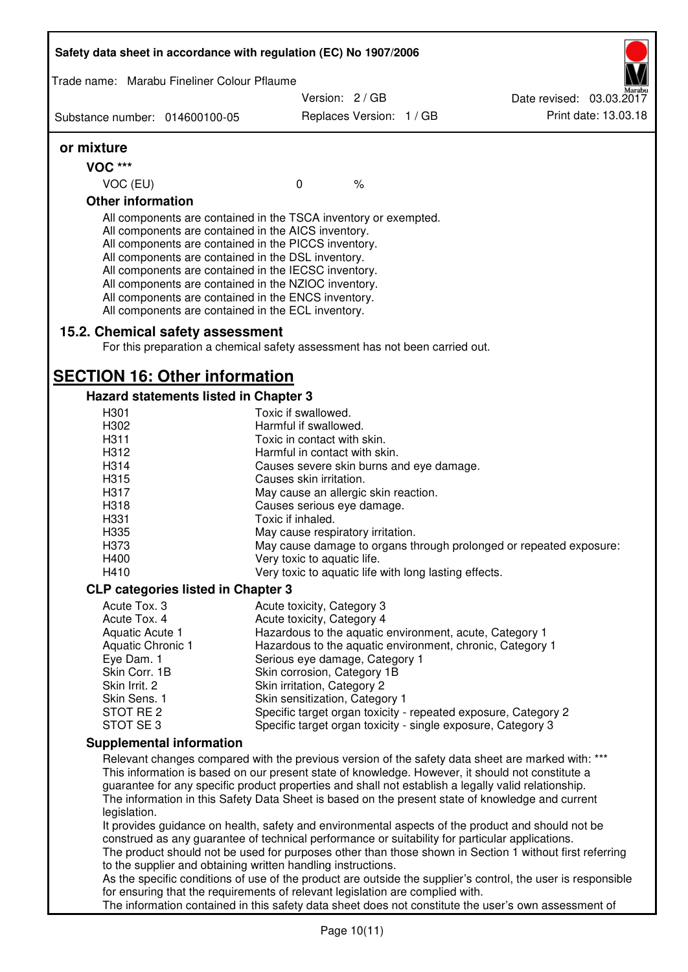| Safety data sheet in accordance with regulation (EC) No 1907/2006                                                                                                                                                                                                                                                                                                                                                                                                 |                                                                                                              |                          |  |                                                                                                                                                                                                         |  |
|-------------------------------------------------------------------------------------------------------------------------------------------------------------------------------------------------------------------------------------------------------------------------------------------------------------------------------------------------------------------------------------------------------------------------------------------------------------------|--------------------------------------------------------------------------------------------------------------|--------------------------|--|---------------------------------------------------------------------------------------------------------------------------------------------------------------------------------------------------------|--|
| Trade name: Marabu Fineliner Colour Pflaume                                                                                                                                                                                                                                                                                                                                                                                                                       |                                                                                                              |                          |  |                                                                                                                                                                                                         |  |
|                                                                                                                                                                                                                                                                                                                                                                                                                                                                   |                                                                                                              | Version: 2 / GB          |  | Date revised: 03.03.2017                                                                                                                                                                                |  |
| Substance number: 014600100-05                                                                                                                                                                                                                                                                                                                                                                                                                                    |                                                                                                              | Replaces Version: 1 / GB |  | Print date: 13.03.18                                                                                                                                                                                    |  |
| or mixture                                                                                                                                                                                                                                                                                                                                                                                                                                                        |                                                                                                              |                          |  |                                                                                                                                                                                                         |  |
| <b>VOC ***</b>                                                                                                                                                                                                                                                                                                                                                                                                                                                    |                                                                                                              |                          |  |                                                                                                                                                                                                         |  |
| VOC (EU)                                                                                                                                                                                                                                                                                                                                                                                                                                                          | $\mathbf 0$                                                                                                  | $\%$                     |  |                                                                                                                                                                                                         |  |
| <b>Other information</b>                                                                                                                                                                                                                                                                                                                                                                                                                                          |                                                                                                              |                          |  |                                                                                                                                                                                                         |  |
| All components are contained in the TSCA inventory or exempted.<br>All components are contained in the AICS inventory.<br>All components are contained in the PICCS inventory.<br>All components are contained in the DSL inventory.<br>All components are contained in the IECSC inventory.<br>All components are contained in the NZIOC inventory.<br>All components are contained in the ENCS inventory.<br>All components are contained in the ECL inventory. |                                                                                                              |                          |  |                                                                                                                                                                                                         |  |
| 15.2. Chemical safety assessment<br>For this preparation a chemical safety assessment has not been carried out.                                                                                                                                                                                                                                                                                                                                                   |                                                                                                              |                          |  |                                                                                                                                                                                                         |  |
| <b>SECTION 16: Other information</b>                                                                                                                                                                                                                                                                                                                                                                                                                              |                                                                                                              |                          |  |                                                                                                                                                                                                         |  |
| Hazard statements listed in Chapter 3                                                                                                                                                                                                                                                                                                                                                                                                                             |                                                                                                              |                          |  |                                                                                                                                                                                                         |  |
| H <sub>301</sub>                                                                                                                                                                                                                                                                                                                                                                                                                                                  | Toxic if swallowed.                                                                                          |                          |  |                                                                                                                                                                                                         |  |
| H302                                                                                                                                                                                                                                                                                                                                                                                                                                                              | Harmful if swallowed.                                                                                        |                          |  |                                                                                                                                                                                                         |  |
| H311                                                                                                                                                                                                                                                                                                                                                                                                                                                              | Toxic in contact with skin.                                                                                  |                          |  |                                                                                                                                                                                                         |  |
| H312                                                                                                                                                                                                                                                                                                                                                                                                                                                              | Harmful in contact with skin.                                                                                |                          |  |                                                                                                                                                                                                         |  |
| H314                                                                                                                                                                                                                                                                                                                                                                                                                                                              | Causes severe skin burns and eye damage.                                                                     |                          |  |                                                                                                                                                                                                         |  |
| H315<br>H317                                                                                                                                                                                                                                                                                                                                                                                                                                                      | Causes skin irritation.                                                                                      |                          |  |                                                                                                                                                                                                         |  |
| H318                                                                                                                                                                                                                                                                                                                                                                                                                                                              | May cause an allergic skin reaction.<br>Causes serious eye damage.                                           |                          |  |                                                                                                                                                                                                         |  |
| H331                                                                                                                                                                                                                                                                                                                                                                                                                                                              | Toxic if inhaled.                                                                                            |                          |  |                                                                                                                                                                                                         |  |
| H335                                                                                                                                                                                                                                                                                                                                                                                                                                                              | May cause respiratory irritation.                                                                            |                          |  |                                                                                                                                                                                                         |  |
| H373                                                                                                                                                                                                                                                                                                                                                                                                                                                              |                                                                                                              |                          |  | May cause damage to organs through prolonged or repeated exposure:                                                                                                                                      |  |
| H400                                                                                                                                                                                                                                                                                                                                                                                                                                                              | Very toxic to aquatic life.                                                                                  |                          |  |                                                                                                                                                                                                         |  |
| H410                                                                                                                                                                                                                                                                                                                                                                                                                                                              |                                                                                                              |                          |  |                                                                                                                                                                                                         |  |
| Very toxic to aquatic life with long lasting effects.<br><b>CLP categories listed in Chapter 3</b>                                                                                                                                                                                                                                                                                                                                                                |                                                                                                              |                          |  |                                                                                                                                                                                                         |  |
| Acute Tox. 3                                                                                                                                                                                                                                                                                                                                                                                                                                                      | Acute toxicity, Category 3                                                                                   |                          |  |                                                                                                                                                                                                         |  |
| Acute Tox. 4                                                                                                                                                                                                                                                                                                                                                                                                                                                      | Acute toxicity, Category 4                                                                                   |                          |  |                                                                                                                                                                                                         |  |
| Aquatic Acute 1                                                                                                                                                                                                                                                                                                                                                                                                                                                   | Hazardous to the aquatic environment, acute, Category 1                                                      |                          |  |                                                                                                                                                                                                         |  |
| Aquatic Chronic 1                                                                                                                                                                                                                                                                                                                                                                                                                                                 |                                                                                                              |                          |  | Hazardous to the aquatic environment, chronic, Category 1                                                                                                                                               |  |
| Eye Dam. 1                                                                                                                                                                                                                                                                                                                                                                                                                                                        | Serious eye damage, Category 1                                                                               |                          |  |                                                                                                                                                                                                         |  |
| Skin Corr. 1B                                                                                                                                                                                                                                                                                                                                                                                                                                                     | Skin corrosion, Category 1B                                                                                  |                          |  |                                                                                                                                                                                                         |  |
| Skin Irrit. 2                                                                                                                                                                                                                                                                                                                                                                                                                                                     | Skin irritation, Category 2                                                                                  |                          |  |                                                                                                                                                                                                         |  |
| Skin Sens. 1                                                                                                                                                                                                                                                                                                                                                                                                                                                      | Skin sensitization, Category 1                                                                               |                          |  |                                                                                                                                                                                                         |  |
| STOT RE 2                                                                                                                                                                                                                                                                                                                                                                                                                                                         |                                                                                                              |                          |  | Specific target organ toxicity - repeated exposure, Category 2                                                                                                                                          |  |
| STOT SE3                                                                                                                                                                                                                                                                                                                                                                                                                                                          |                                                                                                              |                          |  | Specific target organ toxicity - single exposure, Category 3                                                                                                                                            |  |
| <b>Supplemental information</b>                                                                                                                                                                                                                                                                                                                                                                                                                                   |                                                                                                              |                          |  |                                                                                                                                                                                                         |  |
|                                                                                                                                                                                                                                                                                                                                                                                                                                                                   |                                                                                                              |                          |  | Relevant changes compared with the previous version of the safety data sheet are marked with: ***                                                                                                       |  |
|                                                                                                                                                                                                                                                                                                                                                                                                                                                                   |                                                                                                              |                          |  | This information is based on our present state of knowledge. However, it should not constitute a<br>guarantee for any specific product properties and shall not establish a legally valid relationship. |  |
| legislation.                                                                                                                                                                                                                                                                                                                                                                                                                                                      |                                                                                                              |                          |  | The information in this Safety Data Sheet is based on the present state of knowledge and current                                                                                                        |  |
|                                                                                                                                                                                                                                                                                                                                                                                                                                                                   |                                                                                                              |                          |  | It provides guidance on health, safety and environmental aspects of the product and should not be                                                                                                       |  |
| construed as any guarantee of technical performance or suitability for particular applications.                                                                                                                                                                                                                                                                                                                                                                   |                                                                                                              |                          |  |                                                                                                                                                                                                         |  |
|                                                                                                                                                                                                                                                                                                                                                                                                                                                                   |                                                                                                              |                          |  | The product should not be used for purposes other than those shown in Section 1 without first referring                                                                                                 |  |
| to the supplier and obtaining written handling instructions.                                                                                                                                                                                                                                                                                                                                                                                                      |                                                                                                              |                          |  |                                                                                                                                                                                                         |  |
|                                                                                                                                                                                                                                                                                                                                                                                                                                                                   | As the specific conditions of use of the product are outside the supplier's control, the user is responsible |                          |  |                                                                                                                                                                                                         |  |
| for ensuring that the requirements of relevant legislation are complied with.                                                                                                                                                                                                                                                                                                                                                                                     |                                                                                                              |                          |  |                                                                                                                                                                                                         |  |
|                                                                                                                                                                                                                                                                                                                                                                                                                                                                   |                                                                                                              |                          |  | The information contained in this safety data sheet does not constitute the user's own assessment of                                                                                                    |  |